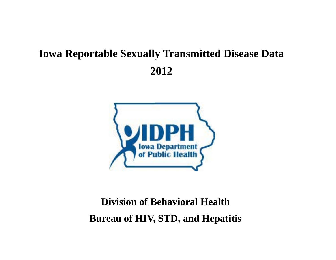## **Iowa Reportable Sexually Transmitted Disease Data 2012**



## **Division of Behavioral Health Bureau of HIV, STD, and Hepatitis**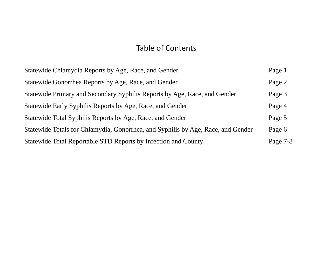## Table of Contents

| Statewide Chlamydia Reports by Age, Race, and Gender                             | Page 1   |
|----------------------------------------------------------------------------------|----------|
| Statewide Gonorrhea Reports by Age, Race, and Gender                             | Page 2   |
| Statewide Primary and Secondary Syphilis Reports by Age, Race, and Gender        | Page 3   |
| Statewide Early Syphilis Reports by Age, Race, and Gender                        | Page 4   |
| Statewide Total Syphilis Reports by Age, Race, and Gender                        | Page 5   |
| Statewide Totals for Chlamydia, Gonorrhea, and Syphilis by Age, Race, and Gender | Page 6   |
| Statewide Total Reportable STD Reports by Infection and County                   | Page 7-8 |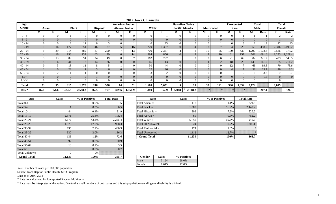| Age          |              |          |                |                |                |              |                | American Indian       | ____ __ __ <u>__</u> |                |                | <b>Hawaiian Native</b>  |                    |                |                | <b>Unreported</b> |          | <b>Total</b> | <b>Total</b> |                |
|--------------|--------------|----------|----------------|----------------|----------------|--------------|----------------|-----------------------|----------------------|----------------|----------------|-------------------------|--------------------|----------------|----------------|-------------------|----------|--------------|--------------|----------------|
| Group        | <b>Asian</b> |          |                | <b>Black</b>   |                | Hispanic     |                | <b>Alaskan Native</b> | White                |                |                | <b>Pacific Islander</b> | <b>Multiracial</b> |                |                | Race              |          | Male         | Female       |                |
|              | М            |          | M              | F              | М              |              | М              | ю                     | M                    | T.             | M              | г                       | М                  | F              | M              | Ð                 | M        | Rate         | ы            | Rate           |
| $0 - 4$      |              | $\Omega$ |                | $\Omega$       | $\theta$       |              |                | $\Omega$              | $\theta$             |                |                | $\Omega$                | $\Omega$           |                |                |                   |          |              |              |                |
| $5 - 9$      |              |          | $\overline{0}$ | $\overline{0}$ | $\overline{0}$ |              | $\overline{0}$ | $\overline{0}$        | $\overline{0}$       | $\overline{0}$ | $\overline{0}$ | $\overline{0}$          | $\overline{0}$     |                | $\overline{0}$ | $\Omega$          |          |              |              |                |
| 10 - 14      |              |          |                | 11             | $\Omega$       |              |                |                       | $\Omega$             | 23             |                |                         |                    |                |                |                   |          | 1.9          | 42           | 43             |
| $15 - 19$    |              | 16       | 177            | 354            | 46             | 187          |                | 16                    | 229                  | 1,357          | $\overline{0}$ |                         | 13                 | 57             | 84             | 325               | 555      | 498.9        | 2,316        | 2,193.2        |
| $20 - 24$    |              | 39       | 314            | 489            | 87             | 200          |                | 13                    | 700                  | 2,337          |                |                         | 10                 | 65             | 159            | 435               | 1,290    | ,178.4       | 3,586        | 3,452          |
| $25 - 29$    |              | 16       | 153            | 137            | 63             | 79           | $\Omega$       | 14                    | 394                  | 856            | $\overline{0}$ |                         | $\mathbf{r}$       | 10             | 81             | 157               | 702      | 691.6        | 1,273        | ,321.4         |
| $30 - 34$    |              | 13       | 89             | 54             | 24             | 49           |                |                       | 162                  | 292            |                |                         |                    |                | 21             | 69                | 302      | 321.2        | 493          | 543.5          |
| $35 - 39$    |              | 6        | 41             | 12             | 14             | 26           | $\Omega$       | $\Omega$              | 66                   | 113            | $\overline{0}$ | $\Omega$                |                    | $\overline{2}$ | 18             | 26                | 145      | 161.9        | 185          | 211.2          |
| 40 - 44      |              | $\sim$   | 15             | 11             | 8              |              |                | $\Omega$              | 30                   | 44             |                | $\Omega$                |                    |                | 12             |                   | 66       | 69.6         | 70           | 75.6           |
| $45 - 54$    |              |          | 22             |                | $\mathcal{R}$  | <sub>b</sub> |                | $\Omega$              | 22                   | 26             | $\overline{0}$ | $\Omega$                | $\Omega$           |                |                |                   | 52       | 23.7         | 40           | 18.2           |
| $55 - 64$    |              |          |                |                | $\Omega$       |              |                | $\Omega$              | $\mathbf{3}$         | 2              |                | $\Omega$                |                    |                |                | $\sim$            | h        | 3.2          |              | 3.7            |
| $65+$        |              |          |                | $\Omega$       |                |              |                | $\Omega$              |                      | $\overline{0}$ |                | $\Omega$                | $\Omega$           |                |                | $\Omega$          | $\sim$   | 1.6          |              | $\overline{0}$ |
| <b>UNK</b>   |              |          |                |                | $\theta$       |              |                | $\Omega$              | $\Omega$             | $\overline{0}$ |                | $\Omega$                |                    |                |                | $\Omega$          | $\Omega$ |              |              |                |
| <b>Total</b> | 23           | 95       | 815            | 1,070          | 246            | 556          | 14             | 51                    | 1,608                | 5,051          |                | 19                      | 33                 | 141            | 380            | 1,032             | 3,124    |              | 8,015        |                |
| Rate*        | 87.1         | 354.6    | 1,757.8        | 2,588.2        | 307.5          | 777          | 329.6          | 1,160.9               | 120.9                | 367.9          | 530.8          | 2,118.2                 |                    |                |                |                   |          | 207.1        |              | 521.1          |

| Age                  | <b>Cases</b> | % of Positives | <b>Total Rate</b> | Race                      |              | <b>Cases</b> |
|----------------------|--------------|----------------|-------------------|---------------------------|--------------|--------------|
| Total 0-4            | 3            | $0.0\%$        | 1.5               | Total Asian $=$           |              | 118          |
| Total 5-9            |              | $0.0\%$        | 0.5               | Total Black $=$           |              | 1,885        |
| <b>Total 10-14</b>   | 44           | 0.4%           | 21.9              | Total Hispanic $=$        |              | 802          |
| <b>Total 15-19</b>   | 2,871        | 25.8%          | 1,324             | Total $AI/AN =$           |              | 65           |
| <b>Total 20-24</b>   | 4,876        | 43.8%          | 2,285.4           | Total White $=$           |              | 6,659        |
| <b>Total 25-29</b>   | 1,975        | 17.7%          | 998.3             | <b>Total HI Native/PI</b> |              | 24           |
| <b>Total 30-34</b>   | 795          | 7.1%           | 430.3             | Total Multiracial $=$     |              | 174          |
| <b>Total 35-39</b>   | 330          | 3.0%           | 186.3             | Total Unreported $=$      |              | 1,412        |
| <b>Total 40-44</b>   | 136          | 1.2%           | 72.6              | <b>Grand Total</b>        |              | 11,139       |
| <b>Total 45-54</b>   | 92           | $0.8\%$        | 20.9              |                           |              |              |
| <b>Total 55-64</b>   | 13           | 0.1%           | 3.5               |                           |              |              |
| Total $65+$          | 3            | $0.0\%$        | 0.7               |                           |              |              |
| <b>Total Unknown</b> | $\Omega$     | $0\%$          |                   |                           |              |              |
| <b>Grand Total</b>   | 11,139       | 100%           | 365.7             | Gender                    | <b>Cases</b> | % Positives  |

| <b>Age</b> | <b>Cases</b> | % of Positives | <b>Total Rate</b> | Race                      | <b>Cases</b> | % of Positives |
|------------|--------------|----------------|-------------------|---------------------------|--------------|----------------|
|            |              | $0.0\%$        | 1.5               | Total Asian $=$           | 118          | $1.1\%$        |
|            |              | $0.0\%$        | 0.5               | Total Black $=$           | 1,885        | 16.9%          |
|            | 44           | $0.4\%$        | 21.9              | Total Hispanic $=$        | 802          | $7.2\%$        |
|            | 2,871        | 25.8%          | 1,324             | Total $AI/AN =$           | 65           | $0.6\%$        |
|            | 4,876        | 43.8%          | 2,285.4           | Total White $=$           | 6,659        | 59.8%          |
|            | 1,975        | 17.7%          | 998.3             | <b>Total HI Native/PI</b> | 24           | $0.2\%$        |
|            | 795          | 7.1%           | 430.3             | Total Multiracial $=$     | 174          | 1.6%           |
|            | 330          | $3.0\%$        | 186.3             | Total Unreported $=$      | 1,412        | 12.7%          |
|            | 136          | 1.2%           | 72.6              | <b>Grand Total</b>        | 11,139       | 100%           |

| <b>Gender</b> | `ases   | % Positives |
|---------------|---------|-------------|
| Male          | 3 1 2 4 | 28.0%       |
| Female        |         | 0%          |

Rate: Number of cases per 100,000 population.

Source: Iowa Dept of Public Health, STD Program

Data as of April 2013

**\*** Rate not calculated for Unreported Race or Multiracial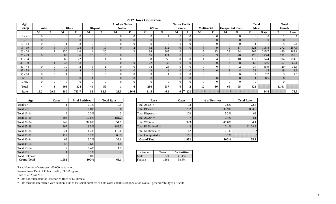| Age        |                |                |                |              |                |                 | Alaskan Native |                |                |                | <b>Native Pacific</b> |                                 |                    |                |                        |                | <b>Total</b> |                | <b>Total</b>   |                |
|------------|----------------|----------------|----------------|--------------|----------------|-----------------|----------------|----------------|----------------|----------------|-----------------------|---------------------------------|--------------------|----------------|------------------------|----------------|--------------|----------------|----------------|----------------|
| Group      |                | Asian          |                | <b>Black</b> |                | <b>Hispanic</b> | <b>Native</b>  |                |                | White          | <b>Islander</b>       |                                 | <b>Multiracial</b> |                | <b>Unreported Race</b> |                | <b>Male</b>  |                | Female         |                |
|            | M              | -              | М              | E            | M              |                 | М              | ы              | М              | F              | M                     | F                               | M                  | F              | М                      | F              | M            | Rate           | п              | Rate           |
| $0 - 4$    | $\overline{0}$ |                | $\theta$       | $\Omega$     | $\Omega$       | $\Omega$        | $\Omega$       | $\theta$       | $\theta$       |                | $\Omega$              |                                 | $\Omega$           | $\overline{0}$ | $\theta$               | $\Omega$       | $\Omega$     | $\theta$       |                |                |
| $5 - 9$    | $\overline{0}$ | $\overline{0}$ | $\overline{0}$ | $\Omega$     | $\overline{0}$ | $\overline{0}$  | $\overline{0}$ | $\overline{0}$ | $\overline{0}$ | $\overline{0}$ |                       | $\overline{0}$                  | $\overline{0}$     | $\overline{0}$ | $\overline{0}$         | $\overline{0}$ | $\Omega$     | $\overline{0}$ | $\overline{0}$ | $\overline{0}$ |
| $10 - 14$  | $\overline{0}$ |                |                |              | $\Omega$       |                 |                | $\Omega$       | $\Omega$       |                |                       |                                 |                    | $\Omega$       |                        |                |              |                |                | 5.1            |
| $15 - 19$  | $\overline{0}$ |                | 74             | 108          | $\mathfrak{Z}$ | 19              | $\Omega$       | 2              | 32             | 112            |                       |                                 |                    | $\mathbf Q$    | $\mathbf Q$            | 17             | 121          | 108.8          | 272            | 257.6          |
| $20 - 24$  |                | ◠              | 130            | 140          | 14             | 20              |                | $\sim$         | 94             | 268            |                       |                                 |                    | 13             | 23                     | 34             | 269          | 245.7          | 480            | 462.1          |
| $25 - 29$  | $\overline{0}$ | $\Omega$       | 83             | 36           | 10             | 6               | $\Omega$       |                | 65             | 124            |                       |                                 |                    | 3              | 16                     | 20             | 176          | 173.4          | 191            | 198.3          |
| $30 - 34$  |                |                | 65             | 22           |                |                 | $\Omega$       |                | 38             | 56             |                       |                                 |                    |                |                        | 10             | 117          | 124.4          | 104            | 114.6          |
| $35 - 39$  |                |                | 33             | 8            |                | $\Omega$        | $\Omega$       | $\Omega$       | 22             | 38             | $\mathbf{U}$          | $\Omega$                        |                    | $\Omega$       |                        | 8              | 65           | 72.6           | 57             | 65.1           |
| $40 - 44$  | $\theta$       |                | 10             |              | <sub>n</sub>   |                 | $\Omega$       | $\Omega$       | 14             | 24             |                       |                                 |                    | $\theta$       |                        |                | 34           | 35.9           | 29             | 31.3           |
| $45 - 54$  |                | $\Omega$       | 11             |              | $\overline{0}$ | $\overline{0}$  | $\overline{0}$ | $\overline{0}$ | 18             | 11             | $\Omega$              | $\Omega$                        | $\overline{0}$     | $\Omega$       | $\sim$                 |                | 33           | 15             | 19             | 8.6            |
| $55 - 64$  | $\theta$       |                |                |              |                |                 | $\Omega$       | $\Omega$       | 3              |                |                       |                                 |                    |                |                        |                |              | 2.2            | 3              | 1.6            |
| $65+$      | $\overline{0}$ | $\overline{0}$ | $\overline{0}$ | $\theta$     |                | $\overline{0}$  | $\overline{0}$ | $\overline{0}$ | $\overline{0}$ | $\overline{0}$ |                       |                                 | $\overline{0}$     | $\overline{0}$ | $\overline{0}$         | $\overline{0}$ |              | 0.5            | $\overline{0}$ | $\overline{0}$ |
| <b>UNK</b> | $\overline{0}$ |                | $\theta$       | $\Omega$     | $\Omega$       | $\Omega$        | $\Omega$       | $\overline{0}$ | $\theta$       | $\Omega$       |                       |                                 |                    | $\overline{0}$ | $\Omega$               | $\Omega$       | $\Omega$     |                | $\Omega$       |                |
| Total      | $\overline{4}$ | 8              | 408            | 324          | 44             | 59              |                | 6              | 286            | 637            | 0                     | $\rightarrow$<br>$\overline{ }$ | 12                 | 30             | 66                     | 95             | 821          |                | 1,161          |                |
| Rate       | 15.2           | 29.9           | 880            | 783.7        | 55             | 82.5            | 23.5           | 136.6          | 21.5           | 46.4           | 0 <sup>†</sup>        | 223                             |                    |                |                        |                |              | 54.4           |                | 75.5           |

**2012 Iowa Gonorrhea**

| Age                  | <b>Cases</b> | % of Positives | <b>Total Rate</b> |                         | Race         | <b>Cases</b>   |
|----------------------|--------------|----------------|-------------------|-------------------------|--------------|----------------|
| Total 0-4            |              | 0.1%           | 0.5               | Total Asian $=$         | 12           |                |
| Total 5-9            | $\Omega$     | $0.0\%$        | $\Omega$          | Total Black $=$         |              | 732            |
| <b>Total 10-14</b>   | 6            | 0.3%           |                   | Total Hispanic =        |              | 103            |
| <b>Total 15-19</b>   | 393          | 19.8%          | 181.2             | Total $AI/AN =$         |              | 7              |
| <b>Total 20-24</b>   | 749          | 37.8%          | 351.1             | Total White $=$         |              | 923            |
| <b>Total 25-29</b>   | 367          | 18.5%          | 185.5             | Total HI Native/ $PI =$ |              | $\overline{2}$ |
| <b>Total 30-34</b>   | 221          | 11.2%          | 119.6             | Total Multiracial $=$   |              | 42             |
| <b>Total 35-39</b>   | 122          | 6.2%           | 68.9              | Total Unreported $=$    |              | 161            |
| <b>Total 40-44</b>   | 63           | 3.2%           | 33.6              | <b>Grand Total</b>      |              | 1,982          |
| <b>Total 45-54</b>   | 52           | $2.6\%$        | 11.8              |                         |              |                |
| <b>Total 55-64</b>   | 7            | 0.4%           | 1.9               |                         |              |                |
| Total $65+$          |              | $0.1\%$        | 0.2               | <b>Gender</b>           | <b>Cases</b> | % Positive     |
| <b>Total Unknown</b> | $\Omega$     | $0.0\%$        |                   | Male                    | 821          | 41.4%          |
| <b>Grand Total</b>   | 1,982        | 100%           | 65.1              | Female                  | 1,161        | 58.6%          |

| ge | <b>Cases</b> | % of Positives | <b>Total Rate</b> | Race                    | <b>Cases</b> | % of Positives | <b>Total Rate</b> |
|----|--------------|----------------|-------------------|-------------------------|--------------|----------------|-------------------|
|    |              | 0.1%           | 0.5               | Total Asian $=$         | 14           | $0.6\%$        | 22.6              |
|    |              | $0.0\%$        | $\Omega$          | Total Black $=$         | 732          | 36.9%          | 834.6             |
|    |              | 0.3%           |                   | Total Hispanic $=$      | 103          | 5.2%           | 68                |
|    | 393          | 19.8%          | 181.2             | Total $AI/AN =$         |              | 0.4%           | 81                |
|    | 749          | 37.8%          | 351.1             | Total White $=$         | 923          | 46.6%          | 34.1              |
|    | 367          | 18.5%          | 185.5             | Total HI Native/ $PI =$ |              | $0.1\%$        | $\ddagger$ 108.8  |
|    | 221          | 11.2%          | 119.6             | Total Multiracial $=$   | 42           | 2.1%           |                   |
|    | 122          | 6.2%           | 68.9              | Total Unreported $=$    | 161          | 8.1%           |                   |
|    | 63           | 3.2%           | 33.6              | <b>Grand Total</b>      | 1,982        | 100%           | 65.1              |

| $\%$ | $\sqrt{ }$<br>∪.∠ | Gender | `ases                    | <b>Positive</b><br>$\mathbf{O}_{\mathbf{O}}$ |
|------|-------------------|--------|--------------------------|----------------------------------------------|
| $\%$ |                   |        | ل کان                    | 4%                                           |
| ℅    | ,,,               | Female | 16 <sup>4</sup><br>1 V 1 | 6%                                           |

Rate: Number of cases per 100,000 population.

Source: Iowa Dept of Public Health, STD Program

Data as of April 2013

**\*** Rate not calculated for Unreported Race or Multiracial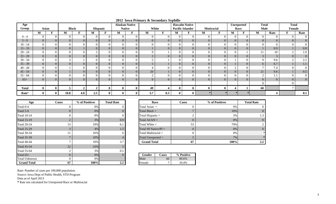| Age               |                |                |                |              |                |                |          | <b>Alaskan Native</b> |                | $\mathbf{v}$ $\mathbf{v}$ in $\mathbf{r}$ |                | <b>Hawaiin Native</b>   |                   |                |          | Unreported     | <b>Total</b> |                | <b>Total</b> |                |
|-------------------|----------------|----------------|----------------|--------------|----------------|----------------|----------|-----------------------|----------------|-------------------------------------------|----------------|-------------------------|-------------------|----------------|----------|----------------|--------------|----------------|--------------|----------------|
| Group             | Asian          |                |                | <b>Black</b> |                | Hispanic       |          | <b>Native</b>         |                | White                                     |                | <b>Pacific Islander</b> | <b>Mutiracial</b> |                |          | Race           | Male         |                | Female       |                |
|                   | М              |                | М              | ю            | м              |                | M        | Ð                     | M              | Ð                                         | М              | ю                       | М                 | F              | м        | F              | M            | Rate           | F            | Rate           |
| $0 - 4$           | $\theta$       | $\Omega$       |                |              | $\Omega$       | $\Omega$       | $\Omega$ | $\Omega$              | $\Omega$       | $\theta$                                  |                |                         | $\Omega$          | $\Omega$       |          |                |              | $\Omega$       |              | $\overline{0}$ |
| $5 - 9$           | $\overline{0}$ | $\overline{0}$ | $\Omega$       | $\Omega$     | $\overline{0}$ | $\Omega$       | $\Omega$ | $\Omega$              | $\Omega$       | $\Omega$                                  | $\overline{0}$ | $\Omega$                | $\Omega$          | $\Omega$       | $\Omega$ | $\Omega$       | $\Omega$     | $\Omega$       | $\Omega$     | $\overline{0}$ |
| $10 - 14$         | $\overline{0}$ | $\Omega$       |                |              | $\overline{0}$ |                |          |                       | $\Omega$       | $\Omega$                                  |                |                         |                   | 0              |          |                |              | $\Omega$       |              | $\overline{0}$ |
| $15 - 19$         | $\overline{0}$ | $\overline{0}$ | $\Omega$       |              | $\overline{0}$ |                | $\Omega$ | $\Omega$              |                | $\Omega$                                  | $\Omega$       |                         | $\Omega$          | $\overline{0}$ | $\Omega$ | $\Omega$       |              | 0.9            |              | 0.9            |
| $20 - 24$         | $\overline{0}$ | $\Omega$       |                |              | ∠              |                |          |                       |                |                                           |                |                         |                   | $\theta$       |          |                |              | 10             |              | 1.9            |
| $25 - 29$         | $\overline{0}$ | $\overline{0}$ | $\overline{0}$ |              | $\overline{0}$ | $\overline{0}$ | $\Omega$ | $\overline{0}$        | 3              | $\Omega$                                  | $\overline{0}$ | $\Omega$                | $\overline{0}$    | $\overline{0}$ | $\Omega$ | $\overline{0}$ |              | $\overline{3}$ | $\Omega$     | $\overline{0}$ |
| $30 - 34$         | $\overline{0}$ | $\theta$       |                |              | $\overline{0}$ |                |          |                       |                |                                           |                |                         |                   | $\Omega$       |          |                | Q            | 9.6            |              | 2.2            |
| $35 - 39$         | $\overline{0}$ | $\overline{0}$ | $\Omega$       | $\Omega$     | $\overline{0}$ | $\overline{0}$ | $\Omega$ | $\overline{0}$        |                |                                           | $\overline{0}$ | $\Omega$                | $\overline{0}$    | $\overline{0}$ |          | $\Omega$       | 6            | 6.7            |              | 1.1            |
| $40 - 44$         | $\overline{0}$ | $\theta$       |                |              | $\overline{0}$ |                |          | $\Omega$              |                |                                           |                |                         |                   |                |          |                |              | 7.4            |              | $\overline{0}$ |
| $45 - 54$         | $\overline{0}$ | $\overline{0}$ |                |              | $\overline{0}$ |                | $\Omega$ | $\Omega$              | 20             |                                           | $\overline{0}$ |                         | $\Omega$          | $\overline{0}$ | $\Omega$ | $\Omega$       | 21           | 9.6            |              | 0.5            |
| $55 - 64$         | $\theta$       | $\Omega$       |                |              | $\Omega$       |                |          |                       |                |                                           |                |                         |                   |                |          |                |              | 1.1            |              | $\overline{0}$ |
| $65+$             | $\overline{0}$ | $\overline{0}$ | $\Omega$       |              | $\overline{0}$ |                | $\Omega$ | $\Omega$              | $\overline{0}$ | $\Omega$                                  | $\Omega$       | $\Omega$                | $\Omega$          | $\Omega$       | $\Omega$ | $\Omega$       | $\Omega$     | $\Omega$       |              | $\overline{0}$ |
|                   |                |                |                |              |                |                |          |                       |                |                                           |                |                         |                   |                |          |                |              |                |              |                |
| <b>Total</b>      | $\bf{0}$       | $\mathbf{0}$   |                |              | $\mathbf{2}$   |                |          |                       | 49             |                                           |                | $\mathbf{0}$            |                   | $\mathbf{0}$   |          |                | 60           |                |              |                |
| Rate <sup>3</sup> | $\mathbf{0}$   | $\mathbf{0}$   | 10.8           | 4.8          | 2.5            |                |          |                       | 3.7            | 0.3                                       |                | $\bf{0}$                |                   |                |          |                |              |                |              | 0.5            |

**2012 Iowa Primary & Secondary Syphilis**

| Age                  | <b>Cases</b>   | % of Positives | <b>Total Rate</b> | Race<br><b>Cases</b>          |
|----------------------|----------------|----------------|-------------------|-------------------------------|
| Total 0-4            | 0              | 0%             |                   | Total Asian $=$               |
| Total 5-9            | $\overline{0}$ | $0\%$          | O                 | Total Black $=$               |
| <b>Total 10-14</b>   | 0              | 0%             |                   | Total Hispanic $=$            |
| <b>Total 15-19</b>   | $\overline{2}$ | 3%             | 0.9               | Total $AI/AN =$               |
| <b>Total 20-24</b>   | 13             | 19%            | 6.1               | Total White $=$               |
| <b>Total 25-29</b>   | 3              | $4\%$          | 1.5               | Total HI Native/ $PI =$       |
| <b>Total 30-34</b>   | 11             | 16%            | 6                 | Total Multiracial $=$         |
| <b>Total 35-39</b>   | 7              | 10%            |                   | Total Unreported $=$          |
| <b>Total 40-44</b>   | $\mathbf{r}$   | 10%            | 3.7               | <b>Grand Total</b>            |
| <b>Total 45-54</b>   | 22             | 33%            |                   |                               |
| <b>Total 55-64</b>   | 2              | 3%             | 0.5               |                               |
| Total $65+$          | $\theta$       | $0\%$          |                   | % Positive<br>Gender<br>Cases |
| <b>Total Unknown</b> | 0              | $0\%$          |                   | Male<br>60<br>89.6%           |
| <b>Grand Total</b>   | 67             | 100%           | 2.2               | Female<br>10.4%               |

| ge | <b>Cases</b> | % of Positives | <b>Total Rate</b> | Race                    | <b>Cases</b> | % of Positives | <b>Total Rate</b> |
|----|--------------|----------------|-------------------|-------------------------|--------------|----------------|-------------------|
|    |              | $0\%$          |                   | Total Asian $=$         |              | 0%             |                   |
|    | U.           | 0%             |                   | Total Black $=$         |              | 10%            |                   |
|    |              | 0%             |                   | Total Hispanic =        |              | 3%             | 1.3               |
|    |              | 3%             | 0.9               | Total $AI/AN =$         |              | 0%             | 0                 |
|    | 13           | 19%            | 6.1               | Total White $=$         | 53           | 79%            |                   |
|    |              | 4%             | $1.5^{\circ}$     | Total HI Native/ $PI =$ |              | 0%             |                   |
|    | 11           | 16%            |                   | Total Multiracial $=$   |              | 0%             |                   |
|    |              | 10%            |                   | Total Unreported $=$    |              | 7%             |                   |
|    |              | 10%            | 3.7               | <b>Grand Total</b>      | 67           | 100%           | $2.2^{\circ}$     |

| $\%$    |     | Gender | ases | ositive      |
|---------|-----|--------|------|--------------|
| $\%$    |     | ale    | ou   | 5%           |
| `<br>70 | 4.L | Female | ∽    | $^{\circ}$ % |

Rate: Number of cases per 100,000 population.

Source: Iowa Dept of Public Health, STD Program

Data as of April 2013

**\*** Rate not calculated for Unreported Race or Multiracial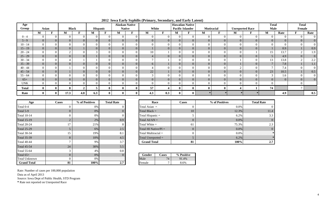| Age          |                |      |                |                |                |                | <b>Alaskan Native</b> |          | $\cdots$ = $\cdots$ , $\cdots$ , $\mathbf{r}$ = $\cdots$ , $\mathbf{r}$ = $\cdots$ , $\mathbf{r}$ , $\mathbf{r}$ = $\mathbf{r}$ = $\mathbf{r}$ = $\mathbf{r}$ = $\mathbf{r}$ = $\mathbf{r}$ = $\mathbf{r}$ = $\mathbf{r}$ = $\mathbf{r}$ = $\mathbf{r}$ = $\mathbf{r}$ = $\mathbf{r}$ = $\mathbf{r}$ = $\mathbf{$ |                | <b>Hawaiian Native</b>  |                   |   |                |                        | <b>Total</b> |          | <b>Total</b> |                 |
|--------------|----------------|------|----------------|----------------|----------------|----------------|-----------------------|----------|-------------------------------------------------------------------------------------------------------------------------------------------------------------------------------------------------------------------------------------------------------------------------------------------------------------------|----------------|-------------------------|-------------------|---|----------------|------------------------|--------------|----------|--------------|-----------------|
| Group        | Asian          |      | <b>Black</b>   |                | Hispanic       |                | <b>Native</b>         |          | White                                                                                                                                                                                                                                                                                                             |                | <b>Pacific Islander</b> | <b>Mutiracial</b> |   |                | <b>Unreported Race</b> | Male         |          | Female       |                 |
|              | M              | М    |                | М              | F              | M              | T.                    | M        | F                                                                                                                                                                                                                                                                                                                 | M              |                         | M                 | F | М              | F                      | М            | Rate     | F            | Rate            |
| $0 - 4$      | $\overline{0}$ |      | $\Omega$       |                | $\Omega$       | $\theta$       | $\Omega$              | $\Omega$ |                                                                                                                                                                                                                                                                                                                   | $\Omega$       |                         |                   |   | $\Omega$       |                        | $\Omega$     |          |              | $\overline{0}$  |
| $5 - 9$      | $\overline{0}$ |      | $\theta$       | $\overline{0}$ | $\Omega$       | $\overline{0}$ | $\Omega$              | $\Omega$ |                                                                                                                                                                                                                                                                                                                   | $\overline{0}$ |                         | $\Omega$          |   | $\Omega$       | $\Omega$               | $\Omega$     |          | $\Omega$     | $\overline{0}$  |
| $10 - 14$    | $\Omega$       |      |                |                |                | $\Omega$       |                       |          |                                                                                                                                                                                                                                                                                                                   | $\Omega$       |                         |                   |   | $\Omega$       |                        |              |          |              | $\Omega$        |
| $15 - 19$    | $\overline{0}$ |      |                |                | $\Omega$       | $\overline{0}$ | $\Omega$              |          |                                                                                                                                                                                                                                                                                                                   | $\Omega$       | $\Omega$                | $\Omega$          |   | $\Omega$       | $\Omega$               |              | 0.9      |              | 0.9             |
| $20 - 24$    | $\overline{0}$ |      |                |                |                | $\Omega$       |                       | 10       |                                                                                                                                                                                                                                                                                                                   | $\theta$       |                         |                   |   | $\Omega$       |                        | 15           | 13.7     |              | 1.9             |
| $25 - 29$    | $\overline{0}$ |      | $\theta$       |                | $\Omega$       | $\overline{0}$ | $\Omega$              |          |                                                                                                                                                                                                                                                                                                                   | $\overline{0}$ | $\overline{0}$          | $\Omega$          |   | $\Omega$       | $\Omega$               |              | 4.9      | $\Omega$     | $\vert 0 \vert$ |
| $30 - 34$    | $\overline{0}$ |      |                |                |                | $\Omega$       |                       |          |                                                                                                                                                                                                                                                                                                                   | $\theta$       |                         |                   |   |                |                        | 13           | 13.8     |              | 2.2             |
| $35 - 39$    | $\overline{0}$ |      | $\overline{0}$ | $\overline{0}$ | $\Omega$       | $\overline{0}$ | $\overline{0}$        | 6        |                                                                                                                                                                                                                                                                                                                   | $\overline{0}$ | $\Omega$                | $\Omega$          |   |                | $\overline{0}$         |              | 7.8      |              | 1.1             |
| $40 - 44$    | $\overline{0}$ |      | $\Omega$       |                | $\Omega$       | $\Omega$       |                       |          |                                                                                                                                                                                                                                                                                                                   | $\theta$       |                         |                   |   |                |                        |              | 7.4      |              | $\overline{0}$  |
| $45 - 54$    | $\overline{0}$ |      | $\mathbf{0}$   | $\overline{0}$ | $\overline{0}$ | $\overline{0}$ | $\overline{0}$        | 22       |                                                                                                                                                                                                                                                                                                                   | $\overline{0}$ | $\overline{0}$          | $\Omega$          |   | $\overline{0}$ | $\overline{0}$         | 23           | 10.5     |              | $0.5\,$         |
| $55 - 64$    | $\overline{0}$ |      | $\Omega$       |                |                | $\Omega$       |                       |          |                                                                                                                                                                                                                                                                                                                   | $\theta$       |                         |                   |   | $\Omega$       |                        |              | 1.6      |              | $\overline{0}$  |
| $65+$        | $\overline{0}$ |      | $\overline{0}$ | $\overline{0}$ | $\Omega$       | $\overline{0}$ | $\Omega$              |          |                                                                                                                                                                                                                                                                                                                   | $\overline{0}$ | $\overline{0}$          | $\Omega$          |   | $\overline{0}$ | $\overline{0}$         | $\Omega$     | $\Omega$ | $\Omega$     | $\overline{0}$  |
| <b>UNK</b>   | $\theta$       |      | $\sqrt{ }$     |                | $\Omega$       | $\overline{0}$ |                       |          |                                                                                                                                                                                                                                                                                                                   | $\theta$       |                         |                   |   | $\Omega$       |                        | $\Omega$     |          |              |                 |
| <b>Total</b> | $\mathbf{0}$   |      | ി              | 5              | $\bf{0}$       | $\bf{0}$       |                       | 57       |                                                                                                                                                                                                                                                                                                                   | $\bf{0}$       |                         |                   |   |                |                        | 74           |          |              |                 |
| Rate         | $\mathbf{0}$   | 17.3 | 4.8            | 6.3            | $\mathbf{0}$   | $\mathbf{0}$   |                       | 4.3      | 0.3                                                                                                                                                                                                                                                                                                               | $\bf{0}$       |                         |                   |   |                |                        |              | 4.9      |              | 0.5             |

**2012 Iowa Early Syphilis (Primary, Secondary, and Early Latent)**

| Age                  | Cases          | % of Positives | <b>Total Rate</b> | Race                    | <b>Cases</b> |
|----------------------|----------------|----------------|-------------------|-------------------------|--------------|
| Total 0-4            | $\theta$       | 0%             |                   | Total Asian $=$         |              |
| Total 5-9            | $\overline{0}$ | $0\%$          |                   | Total Black $=$         | 10           |
| <b>Total 10-14</b>   | $\Omega$       | 0%             |                   | Total Hispanic $=$      |              |
| <b>Total 15-19</b>   | $\overline{2}$ | 2%             | 0.9               | Total $AI/AN =$         |              |
| <b>Total 20-24</b>   | 17             | 21%            | 8                 | Total White $=$         | 61           |
| <b>Total 25-29</b>   | 5              | 6%             | 2.5               | Total HI Native/ $PI =$ |              |
| <b>Total 30-34</b>   | 15             | 19%            | 8.1               | Total Multiracial $=$   |              |
| <b>Total 35-39</b>   | 8              | 10%            | 4.5               | Total Unreported $=$    |              |
| <b>Total 40-44</b>   | 7              | 9%             | 3.7               | <b>Grand Total</b>      | 81           |
| <b>Total 45-54</b>   | 24             | 30%            | 5.5               |                         |              |
| <b>Total 55-64</b>   | 3              | 4%             | 0.8               |                         |              |
| Total $65+$          | $\theta$       | $0\%$          |                   | <b>Cases</b><br>Gender  | % Positive   |
| <b>Total Unknown</b> | $\theta$       | 0%             |                   | 74<br>Male              | 91.4%        |
| <b>Grand Total</b>   | 81             | 100%           | 2.7               | Female                  | 8.6%         |

| ge | <b>Cases</b> | % of Positives | <b>Total Rate</b> | Race                    | <b>Cases</b> | % of Positives | <b>Total Rate</b> |
|----|--------------|----------------|-------------------|-------------------------|--------------|----------------|-------------------|
|    |              | 0%             | $\theta$          | Total Asian $=$         |              | $0.0\%$        | $\Omega$          |
|    |              | $0\%$          | $\theta$          | Total Black $=$         | 10           | 12.3%          | 11.4              |
|    |              | $0\%$          | $\overline{0}$    | Total Hispanic $=$      |              | 6.2%           | 3.3               |
|    |              | $2\%$          | 0.9               | Total $AI/AN =$         |              | $0.0\%$        | $\overline{0}$    |
|    | 17           | 21%            | 8                 | Total White $=$         | 61           | 75.3%          | 2.3               |
|    |              | 6%             | 2.5               | Total HI Native/ $PI =$ |              | $0.0\%$        |                   |
|    | 15           | 19%            | 8.1               | Total Multiracial $=$   |              | 0.0%           |                   |
|    | റ            | $10\%$         | 4.5               | Total Unreported $=$    |              | 6.2%           |                   |
|    |              | 9%             | 3.7               | <b>Grand Total</b>      | 81           | 100%           | 2.7               |

| $\%$ |     | <b>Gender</b> | 'ases | <b>Positive</b><br>$\mathbf{0}_{\alpha}$ |
|------|-----|---------------|-------|------------------------------------------|
| $\%$ |     |               | 4     | 4%                                       |
| ℅    | ، ، | emale         | -     | 60/                                      |

Rate: Number of cases per 100,000 population Data as of April 2013 Source: Iowa Dept of Public Health, STD Program

**\*** Rate not reported on Unreported Race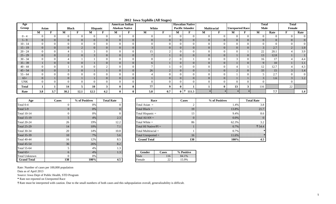| Age          |                |                |                |                |                |          | <b>American Indian</b> |                       | $\frac{1}{2}$ = $\frac{1}{2}$ $\frac{1}{2}$ $\frac{1}{2}$ $\frac{1}{2}$ $\frac{1}{2}$ $\frac{1}{2}$ $\frac{1}{2}$ $\frac{1}{2}$ $\frac{1}{2}$ $\frac{1}{2}$ $\frac{1}{2}$ $\frac{1}{2}$ $\frac{1}{2}$ $\frac{1}{2}$ $\frac{1}{2}$ $\frac{1}{2}$ $\frac{1}{2}$ $\frac{1}{2}$ $\frac{1}{2}$ $\frac{1}{2}$ $\frac{1}{2}$ |     |                | <b>Hawaiian Native</b>  |                |                    |                        |                | <b>Total</b>   |      | <b>Total</b> |                  |
|--------------|----------------|----------------|----------------|----------------|----------------|----------|------------------------|-----------------------|-----------------------------------------------------------------------------------------------------------------------------------------------------------------------------------------------------------------------------------------------------------------------------------------------------------------------|-----|----------------|-------------------------|----------------|--------------------|------------------------|----------------|----------------|------|--------------|------------------|
| Group        | Asian          |                |                | <b>Black</b>   |                | Hispanic |                        | <b>Alaskan Native</b> | White                                                                                                                                                                                                                                                                                                                 |     |                | <b>Pacific Islander</b> |                | <b>Multiracial</b> | <b>Unreported Race</b> |                | Male           |      | Female       |                  |
|              | M              |                | M              | $\blacksquare$ | M              | F        | M                      | T.                    | M                                                                                                                                                                                                                                                                                                                     | T.  | М              | T.                      | М              | $\mathbf{r}$       | M                      |                | M              | Rate | <b>TO</b>    | Rate             |
| $0 - 4$      | $\theta$       |                | $\Omega$       |                | $\theta$       |          | $\overline{0}$         | $\theta$              | $\Omega$                                                                                                                                                                                                                                                                                                              |     | $\overline{0}$ | $\Omega$                |                | $\Omega$           | $\Omega$               |                | $\Omega$       |      |              | $\overline{0}$   |
| $5 - 9$      | $\overline{0}$ | $\overline{0}$ | 0              | $\Omega$       | $\overline{0}$ |          | $\overline{0}$         | $\overline{0}$        | $\overline{0}$                                                                                                                                                                                                                                                                                                        |     | $\overline{0}$ | $\overline{0}$          | $\Omega$       | $\overline{0}$     | $\overline{0}$         |                | $\overline{0}$ |      |              | $\overline{0}$   |
| $10 - 14$    | $\overline{0}$ |                |                |                | $\Omega$       |          |                        |                       |                                                                                                                                                                                                                                                                                                                       |     |                |                         |                |                    | $\Omega$               |                | $\Omega$       |      |              | $\Omega$         |
| $15 - 19$    | $\overline{0}$ | 0              |                |                | $\Omega$       |          | $\overline{0}$         | $\overline{0}$        |                                                                                                                                                                                                                                                                                                                       |     | $\Omega$       | $\Omega$                |                | $\overline{0}$     | $\overline{0}$         |                | $\mathcal{L}$  | 2.7  |              | 1.9 <sub>1</sub> |
| $20 - 24$    | $\overline{0}$ |                |                |                |                |          | $\Omega$               |                       | 15                                                                                                                                                                                                                                                                                                                    |     |                | $\Omega$                |                |                    | $\Omega$               |                | 22             | 20.1 |              | 3.9              |
| $25 - 29$    | $\overline{0}$ | $\Omega$       |                |                |                |          | $\overline{0}$         | $\Omega$              |                                                                                                                                                                                                                                                                                                                       |     | $\Omega$       | $\Omega$                |                | $\overline{0}$     |                        |                | 13             | 12.8 |              |                  |
| $30 - 34$    | $\Omega$       |                |                |                |                |          | $\theta$               |                       |                                                                                                                                                                                                                                                                                                                       |     | $\Omega$       |                         |                |                    | $\mathbf{c}$           |                | 16             | 17   |              | 4.4              |
| $35 - 39$    |                | $\overline{0}$ |                |                |                |          | $\overline{0}$         | $\overline{0}$        | 6                                                                                                                                                                                                                                                                                                                     |     | $\overline{0}$ | $\Omega$                | $\Omega$       | $\overline{0}$     |                        |                | 9              | 10   |              | 1.1              |
| $40 - 44$    | $\overline{0}$ |                |                |                | $\Omega$       |          |                        | $\Omega$              |                                                                                                                                                                                                                                                                                                                       |     | $\Omega$       | $\Omega$                |                | $\Omega$           |                        |                | 12             | 12.7 |              | 4.3              |
| $45 - 54$    | $\mathbf{0}$   | $\overline{0}$ |                |                |                |          | $\overline{0}$         | $\overline{0}$        | 26                                                                                                                                                                                                                                                                                                                    |     | $\overline{0}$ | $\overline{0}$          |                | $\overline{0}$     | $\Omega$<br>$\angle$   | $\overline{0}$ | 33             | 15   | $\Omega$     | 1.4              |
| $55 - 64$    | $\overline{0}$ |                |                |                | 0              |          | $\theta$               | $\Omega$              |                                                                                                                                                                                                                                                                                                                       |     | $\Omega$       | $\Omega$                |                | $\Omega$           |                        |                |                | 2.7  |              | $\overline{0}$   |
| $65+$        | $\overline{0}$ |                | $\overline{0}$ |                |                |          | $\overline{0}$         | $\overline{0}$        |                                                                                                                                                                                                                                                                                                                       |     | $\overline{0}$ | $\overline{0}$          | $\overline{0}$ | $\overline{0}$     |                        |                | 3              | 1.6  | 3            | 1.2              |
| <b>UNK</b>   | $\overline{0}$ |                |                |                | $\Omega$       |          |                        |                       | $\Omega$                                                                                                                                                                                                                                                                                                              |     | $\Omega$       |                         |                | $\Omega$           | $\Omega$               |                | $\Omega$       |      |              |                  |
| <b>Total</b> |                |                | 14             |                | 10             |          | 0                      | 0                     | 77                                                                                                                                                                                                                                                                                                                    |     | $\mathbf{0}$   |                         |                | $\mathbf{0}$       | 13                     | 3              | 116            |      | $22\,$       |                  |
| Rate         | 3.8            | 3.7            | 30.2           | 12.1           | 12.5           | 4.2      |                        | 0                     | 5.8                                                                                                                                                                                                                                                                                                                   | 0.7 |                | 111.5<br>$0$  †         |                |                    |                        |                |                | 7.7  |              | 1.4              |

**2012 Iowa Syphilis (All Stages)**

| Age                | <b>Cases</b>   | % of Positives | <b>Total Rate</b> |                               | Race                    | <b>Cases</b> |            |
|--------------------|----------------|----------------|-------------------|-------------------------------|-------------------------|--------------|------------|
| Total 0-4          | 0              | $0\%$          | 0                 |                               | Total Asian $=$         |              |            |
| Total 5-9          | $\overline{0}$ | $0\%$          | $\Omega$          |                               | Total Black $=$         | 19           |            |
| <b>Total 10-14</b> | 0              | 0%             | $\Omega$          |                               | Total Hispanic $=$      | 13           |            |
| <b>Total 15-19</b> | 5              | $4\%$          | 2.3               |                               | Total $AI/AN =$         |              |            |
| <b>Total 20-24</b> | 26             | 19%            | 12.2              |                               | Total White $=$         |              |            |
| <b>Total 25-29</b> | 14             | 10%            | 7.1               |                               | Total HI Native/ $PI =$ |              |            |
| <b>Total 30-34</b> | 20             | 14%            | 10.8              |                               | Total Multiracial $=$   |              |            |
| <b>Total 35-39</b> | 10             | $7\%$          | 5.6               |                               | Total Unreported $=$    |              | 16         |
| <b>Total 40-44</b> | 16             | 12%            | 8.5               |                               | <b>Grand Total</b>      |              | 138        |
| <b>Total 45-54</b> | 36             | 26%            | 8.2               |                               |                         |              |            |
| <b>Total 55-64</b> | 5              | 4%             | 1.3               |                               |                         |              |            |
| Total $65+$        | 6              | $4\%$          | 1.3               | <b>Gender</b><br><b>Cases</b> |                         |              | % Positive |
| Total Unknown      | 0              | 0%             |                   | Male<br>116                   |                         |              | 84.1%      |
| <b>Grand Total</b> | 138            | 100%           | 4.5               | Female<br>22                  |                         |              | 15.9%      |

| ge | <b>Cases</b>   | % of Positives | <b>Total Rate</b> | Race                    | Cases          | % of Positives | <b>Total Rate</b> |
|----|----------------|----------------|-------------------|-------------------------|----------------|----------------|-------------------|
|    |                | 0%             |                   | Total Asian $=$         |                | 1.4%           | 3.8               |
|    | $\overline{0}$ | 0%             | 0                 | Total Black $=$         | 19             | 13.8%          | 21.7              |
|    |                | 0%             | 0                 | Total Hispanic =        | 13             | 9.4%           | 8.6               |
|    |                | 4%             | 2.3               | Total $AI/AN =$         | $\overline{0}$ | $0.0\%$        | $\overline{0}$    |
|    | 26             | 19%            | 12.2              | Total White $=$         | 86             | 62.3%          | 3.2               |
|    | 14             | 10%            | 7.1               | Total HI Native/ $PI =$ |                | 0.7%           | † 54.4            |
|    | 20             | 14%            | 10.8              | Total Multiracial $=$   |                | 0.7%           |                   |
|    | 10             | 7%             | 5.6               | Total Unreported $=$    | 16             | 11.6%          |                   |
|    | 16             | 12%            | 8.5               | <b>Grand Total</b>      | 138            | 100%           | 4.5               |
|    |                |                |                   |                         |                |                |                   |

| $\%$ | $\overline{\phantom{0}}$<br>$-2.5$ | Gender | 'ases | Positive<br>$0/_{\alpha}$ |
|------|------------------------------------|--------|-------|---------------------------|
| %    |                                    |        |       | $\frac{9}{6}$             |
| ℅    | - ن                                | emale  | ∸     | 9%                        |

Rate: Number of cases per 100,000 population

Data as of April 2013

Source: Iowa Dept of Public Health, STD Program

**\*** Rate not reported on Unreported Race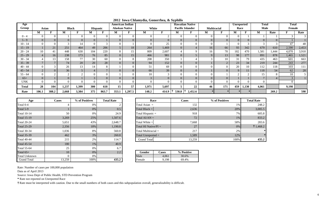| Age        |                |       |              |          |                 |          |                | American Indian                |                |          | ◡▴                      | <b>Hawaiian Native</b> |                |                | <b>Unreported</b> |                | <b>Total</b> |        | <b>Total</b> |                |
|------------|----------------|-------|--------------|----------|-----------------|----------|----------------|--------------------------------|----------------|----------|-------------------------|------------------------|----------------|----------------|-------------------|----------------|--------------|--------|--------------|----------------|
| Group      | Asian          |       | <b>Black</b> |          | <b>Hispanic</b> |          |                | <b>Alaskan Native</b><br>White |                |          | <b>Pacific Islander</b> | <b>Multiracial</b>     |                | Race           |                   | <b>Male</b>    |              | Female |              |                |
|            | M              |       | M            |          | M               |          | M              |                                | м              |          | М                       |                        | M              |                | М                 |                | М            | Rate   |              | Rate           |
| $0 - 4$    | $\Omega$       |       |              |          | $\Omega$        |          |                |                                | $\overline{0}$ | $\sim$   | $\Omega$                | $\Omega$               | $\Omega$       | $\Omega$       | $\Omega$          |                |              |        |              | $\mathcal{R}$  |
| $5 - 9$    | $\overline{0}$ |       |              | $\Omega$ | $\Omega$        |          | $\overline{0}$ |                                | $\overline{0}$ | $\Omega$ | $\overline{0}$          | $\overline{0}$         | $\overline{0}$ | $\Omega$       | $\overline{0}$    | $\overline{0}$ |              |        |              |                |
| $10 - 14$  | $\theta$       |       |              | 14       |                 |          |                |                                | $\Omega$       | 25       |                         |                        |                |                |                   |                |              |        | 47           | 48             |
| $15 - 19$  |                | 21    | 251          | 464      | 49              | 206      | 5 <sup>5</sup> | 18                             | 264            | 1,469    | $\overline{0}$          |                        | 16             | 66             | 93                | 342            | 679          | 610    | 2,590        | 2,453          |
| $20 - 24$  | 10             | 41    | 448          | 630      | 104             | 220      | 8              | 15                             | 809            | 2,607    |                         |                        | 16             | 78             | 182               | 470            | 1,581        | 1,444  | 4,070        | 3,918          |
| $25 - 29$  | $\overline{4}$ | 16    | 238          | 173      | 76              | 85       | $\overline{0}$ | 15                             | 466            | 981      | $\overline{0}$          |                        | 9              | 13             | 98                | 177            | 891          | 878    | 1,465        | 1,521          |
| $30 - 34$  | $\overline{4}$ | 13    | 158          | 77       | 30              | 60       | $\Omega$       | 8                              | 208            | 350      |                         |                        |                | 10             | 31                | 79             | 435          | 463    | 601          | 663            |
| $35 - 39$  | $\overline{ }$ |       | 74           | 20       | 20              | 28       | $\overline{0}$ |                                | 94             | 152      | $\overline{0}$          | $\overline{0}$         |                | 2              | 23                | 34             | 219          | 244    | 243          | 277            |
| $40 - 44$  | $\theta$       |       | 26           | 13       | 14              |          |                |                                | 51             | 69       | $\Omega$                | $\Omega$               |                | $\Omega$       | 20                | 10             | 112          | 118    | 103          | 111            |
| $45 - 54$  | 2              |       | 36           |          |                 |          | $\overline{0}$ |                                | 66             | 39       | $\overline{0}$          | $\overline{0}$         |                | $\overline{0}$ | 9                 | 11             | 118          | 54     | 62           | 28             |
| $55 - 64$  | $\overline{0}$ |       |              |          |                 |          |                |                                | 10             |          | $\Omega$                | $\Omega$               |                |                |                   |                | 15           |        | 10           | 5 <sup>5</sup> |
| $65+$      | $\overline{0}$ |       |              |          |                 | $\theta$ | $\overline{0}$ |                                | 3              | $\Omega$ | $\overline{0}$          | $\overline{0}$         | $\overline{0}$ | $\overline{0}$ |                   |                |              |        |              |                |
| <b>UNK</b> | $\Omega$       |       |              |          |                 |          |                |                                | $\Omega$       |          | $\Omega$                |                        |                | $\Omega$       |                   | $\Omega$       |              |        |              |                |
| Total      | 28             | 104   | 1,237        | 1,399    | 300             | 618      | 15             | 57                             | 1,971          | 5,697    |                         | 22                     | 46             | 171            | 459               | 1,130          | 4,061        |        | 9,198        |                |
| Rate       | 106.1          | 388.2 | 2,668        | 3,384    | 375             | 863.7    | 353.1          | 1,297.5                        | 148.2          | 414.9    | 530.8                   | 2,452.6                |                |                |                   |                |              | 269.2  |              | 598            |

**2012 Iowa Chlamydia, Gonorrhea, & Syphilis**

| Age                | <b>Cases</b> | % of Positives | <b>Total Rate</b> | Race                    |              | Cases      |
|--------------------|--------------|----------------|-------------------|-------------------------|--------------|------------|
| Total 0-4          | 4            | $0\%$          |                   | Total Asian $=$         |              | 132        |
| Total 5-9          |              | $0\%$          | 0.5               | Total Black $=$         |              | 2,636      |
| <b>Total 10-14</b> | 50           | 0%             | 24.9              | Total Hispanic $=$      |              | 918        |
| <b>Total 15-19</b> | 3,269        | 25%            | 1,507.6           | Total $AI/AN =$         |              | 72         |
| <b>Total 20-24</b> | 5,651        | 43%            | 2,648.7           | Total White $=$         |              | 7,668      |
| <b>Total 25-29</b> | 2,356        | 18%            | 1,190.8           | Total HI Native/ $PI =$ |              | 27         |
| <b>Total 30-34</b> | 1,036        | 8%             | 560.8             | Total Multiracial $=$   |              | 217        |
| <b>Total 35-39</b> | 462          | 3%             | 260.8             | Total Unreported $=$    |              | 1,589      |
| <b>Total 40-44</b> | 215          | 2%             | 114.7             | <b>Grand Total</b>      |              | 13,259     |
| <b>Total 45-54</b> | 180          | 1%             | 40.9              |                         |              |            |
| <b>Total 55-64</b> | 25           | 0%             | 6.7               |                         |              |            |
| Total $65+$        | 10           | $0\%$          | 2.2               | Gender                  | <b>Cases</b> | % Positive |
| Total Unknown      | $\Omega$     | 0%             |                   | Male                    | 4,061        | 30.6%      |
| <b>Grand Total</b> | 13,259       | 100%           | 435.2             | Female                  | 9,198        | 69.4%      |

| ge | <b>Cases</b> | % of Positives | <b>Total Rate</b> |                    | Race                    | Cases  | % of Positives | <b>Total Rate</b>  |
|----|--------------|----------------|-------------------|--------------------|-------------------------|--------|----------------|--------------------|
|    |              | 0%             |                   | Total Asian $=$    |                         | 132    | 1%             | 248.2              |
|    |              | 0%             | 0.5               | Total Black $=$    |                         | 2,636  | 20%            | 3,005.5            |
|    | 50           | 0%             | 24.9              | Total Hispanic $=$ |                         | 918    | 7%             | 605.8              |
|    | 3,269        | 25%            | 1,507.6           | Total $AI/AN =$    |                         | 72     | 1%             | 833.2              |
|    | 5,651        | 43%            | 2,648.7           | Total White $=$    |                         | 7,668  | 58%            | 283.6              |
|    | 2,356        | 18%            | 1,190.8           |                    | Total HI Native/ $PI =$ | 27     | $0\%$          | $\ddagger$ 1,468.2 |
|    | 1,036        | 8%             | 560.8             |                    | Total Multiracial $=$   | 217    |                |                    |
|    | 462          | 3%             | 260.8             |                    | Total Unreported $=$    | 1,589  | 12%            |                    |
|    | 215          | 2%             | 114.7             | <b>Grand Total</b> |                         | 13,259 | 100%           | 435.2              |
|    |              |                |                   |                    |                         |        |                |                    |

| $\overline{1}$ $\Omega$<br>1 V | $\Omega$<br>v / v | $\overline{\phantom{m}}$<br>. | eγ | 9606 |                 |
|--------------------------------|-------------------|-------------------------------|----|------|-----------------|
|                                | $\Omega$          |                               |    |      | 50/<br>'υ       |
| $\sim$<br>1 J.J.J              | $\sim$            | . .                           |    |      | 10 <sub>0</sub> |

Rate: Number of cases per 100,000 population

Data as of April 2013

Source: Iowa Dept of Public Health, STD Prevention Program

**\*** Rate not reported on Unreported Race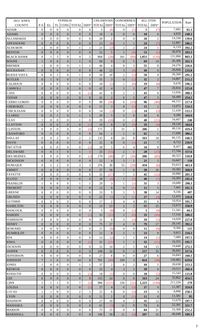| 2012 IOWA          | <b>SYPHILIS</b>  |                  |                  |                  |                                 |                  | <b>CHLAMYDIA</b> |                   | <b>GONORRHEA</b> |                  | <b>ALL STDS</b>         |                   |                   |       |
|--------------------|------------------|------------------|------------------|------------------|---------------------------------|------------------|------------------|-------------------|------------------|------------------|-------------------------|-------------------|-------------------|-------|
| <b>COUNTY</b>      | $P-S$            | EL               |                  |                  | TL CONG TOTAL DIFF <sup>1</sup> |                  | <b>TOTAL</b>     | DIFF <sup>1</sup> | <b>TOTAL</b>     |                  | DIFF <sup>1</sup> TOTAL | DIFF <sup>1</sup> | <b>POPULATION</b> | Rate  |
|                    |                  |                  |                  |                  |                                 |                  |                  |                   |                  |                  |                         |                   | 7,682             |       |
| <b>ADAIR</b>       | $\boldsymbol{0}$ | $\overline{0}$   | $\mathbf{0}$     | $\theta$         | $\mathbf{0}$                    | $\theta$         | 5                | (6)               | $\overline{0}$   | (1)              | 5                       | (7)               |                   | 65.1  |
| <b>ADAMS</b>       | $\theta$         | $\theta$         | $\Omega$         | $\overline{0}$   | $\overline{0}$                  | $\overline{0}$   | 10               | $\overline{0}$    | $\overline{0}$   | $\overline{0}$   | <b>10</b>               | $\overline{0}$    | 4,029             | 248.2 |
| <b>ALLAMAKEE</b>   | $\boldsymbol{0}$ | $\theta$         | $\Omega$         | $\theta$         | $\mathbf{0}$                    | $\theta$         | 20               | $\overline{c}$    | $\Omega$         | $\theta$         | 20                      | $\overline{2}$    | 14,330            | 139.6 |
| <b>APPANOOSE</b>   | $\boldsymbol{0}$ | $\theta$         | $\Omega$         | $\overline{0}$   | $\overline{0}$                  | $\overline{0}$   | 23               | (8)               | 1                | 1                | 24                      | (7)               | 12,887            | 186.2 |
| <b>AUDUBON</b>     | $\mathbf{1}$     | $\theta$         | $\Omega$         | $\theta$         | 1                               | 1                | 21               | (2)               | $\overline{2}$   | $\overline{c}$   | 24                      | 1                 | 6,119             | 392.2 |
| <b>BENTON</b>      | $\overline{0}$   | $\overline{0}$   | $\theta$         | $\overline{0}$   | $\boldsymbol{0}$                | $\overline{0}$   | 52               | 5                 |                  | (6)              | 53                      | (1)               | 26,076            | 203.3 |
| <b>BLACK HAWK</b>  | $\overline{0}$   | 1                | 3                | $\overline{0}$   | $\overline{4}$                  | $\overline{2}$   | 868              | (28)              | 181              | (84)             | 1,053                   | (110)             | 131,090           | 803.3 |
| <b>BOONE</b>       | 1                | $\overline{0}$   | $\Omega$         | $\overline{0}$   | 1                               | $\overline{0}$   | 60               | 9                 | $8\,$            | 5                | 69                      | 14                | 26,306            | 262.3 |
| <b>BREMER</b>      | $\mathbf{1}$     | $\theta$         | $\mathbf{0}$     | $\theta$         | 1                               | 1                | 46               | 4                 | 8                | 3                | 55                      | 8                 | 24,276            | 226.6 |
| <b>BUCHANAN</b>    | $\boldsymbol{0}$ | $\overline{0}$   | $\overline{0}$   | $\overline{0}$   | $\overline{0}$                  | $\overline{0}$   | 46               | 13                | 3                | (4)              | 49                      | 9                 | 20,958            | 233.8 |
| <b>BUENA VISTA</b> | $\overline{0}$   | $\mathbf{0}$     | $\mathbf{1}$     | $\mathbf{0}$     | 1                               | $\mathbf{0}$     | 56               | 10                | $\overline{2}$   | (1)              | 59                      | 9                 | 20,260            | 291.2 |
| <b>BUTLER</b>      | $\boldsymbol{0}$ |                  | $\overline{0}$   | $\overline{0}$   | $\mathbf{1}$                    | $\mathbf{1}$     | 31               | 3                 | $\overline{0}$   | (2)              | 32                      | $\overline{2}$    | 14,867            | 215.2 |
|                    |                  |                  |                  |                  | $\mathbf{0}$                    | $\mathbf{0}$     | 18               |                   |                  |                  |                         |                   | 9,670             |       |
| <b>CALHOUN</b>     | $\theta$         | $\theta$         | $\mathbf{0}$     | $\theta$         |                                 |                  |                  | (2)               |                  | (6)              | 19                      | (8)               | 20,816            | 196.5 |
| <b>CARROLL</b>     | $\boldsymbol{0}$ | $\overline{0}$   | $\theta$         | $\overline{0}$   | $\overline{0}$                  | $\overline{0}$   | 42               | $\overline{4}$    | 5                | 3                | 47                      | $7\phantom{.0}$   |                   | 225.8 |
| CASS               | $\overline{0}$   | $\mathbf{0}$     | $\mathbf{0}$     | $\mathbf{0}$     | $\mathbf{0}$                    | (1)              | 41               | $\mathbf{0}$      | $\overline{2}$   | 1                | 43                      | $\mathbf{0}$      | 13,956            | 308.1 |
| <b>CEDAR</b>       | $\boldsymbol{0}$ | $\theta$         | $\theta$         | $\overline{0}$   | $\boldsymbol{0}$                | $\mathbf{0}$     | 41               | $\sqrt{2}$        | 6                | 3                | 47                      | 5                 | 18,499            | 254.1 |
| <b>CERRO GORDO</b> | $\overline{0}$   | $\theta$         | $\mathbf{0}$     | $\theta$         | $\boldsymbol{0}$                | $\mathbf{0}$     | 90               | (36)              | 6                | (10)             | 96                      | (46)              | 44,151            | 217.4 |
| <b>CHEROKEE</b>    | $\boldsymbol{0}$ | $\theta$         | $\overline{0}$   | $\overline{0}$   | $\overline{0}$                  | $\theta$         | 15               | 3                 | $\overline{0}$   | (1)              | 15                      | $\overline{2}$    | 12,072            | 124.3 |
| <b>CHICKASAW</b>   | $\overline{0}$   | $\mathbf{0}$     | $\Omega$         | $\theta$         | $\mathbf{0}$                    | $\mathbf{0}$     | 14               | (3)               | $\overline{0}$   | (2)              | 14                      | (5)               | 12,439            | 112.5 |
| <b>CLARKE</b>      | $\boldsymbol{0}$ | $\theta$         |                  | $\overline{0}$   | $\mathbf{1}$                    | 1                | 29               | 5                 | $\overline{2}$   | $\overline{0}$   | 32                      | 6                 | 9,286             | 344.6 |
| <b>CLAY</b>        | $\mathbf{1}$     | $\theta$         | $\Omega$         | $\mathbf{0}$     | $\mathbf{1}$                    | $\theta$         | 39               | (10)              | $\Omega$         | (1)              | 40                      | (11)              | 16,667            | 240   |
| <b>CLAYTON</b>     | $\boldsymbol{0}$ | $\overline{0}$   | $\overline{0}$   | $\overline{0}$   | $\overline{0}$                  | (1)              | 19               | $\overline{0}$    | $\theta$         | (3)              | 19                      | (4)               | 18,129            | 104.8 |
| <b>CLINTON</b>     | $\overline{0}$   | $\mathbf{0}$     | $\mathbf{0}$     | $\mathbf{0}$     | $\mathbf{0}$                    | (2)              | 175              | $\overline{c}$    | 31               | 1                | 206                     | 1                 | 49,116            | 419.4 |
|                    |                  |                  |                  |                  |                                 |                  |                  |                   |                  |                  |                         |                   | 17,096            |       |
| <b>CRAWFORD</b>    | $\boldsymbol{0}$ | $\theta$         | $\overline{0}$   | $\overline{0}$   | $\boldsymbol{0}$                | $\mathbf{0}$     | 64               |                   |                  | $\overline{0}$   | 65                      | 1                 |                   | 380.2 |
| <b>DALLAS</b>      | $\overline{0}$   | $\theta$         | $\overline{2}$   | $\mathbf{0}$     | $\overline{2}$                  | $\overline{2}$   | 135              | 8                 | 26               | 8                | 163                     | 18                | 66,135            | 246.5 |
| <b>DAVIS</b>       | $\boldsymbol{0}$ | $\overline{0}$   | $\overline{0}$   | $\overline{0}$   | $\overline{0}$                  | $\overline{0}$   | 21               | 8                 | $\overline{0}$   | (1)              | 21                      | $\boldsymbol{7}$  | 8,753             | 239.9 |
| <b>DECATUR</b>     | $\boldsymbol{0}$ | $\Omega$         | $\Omega$         | $\theta$         | $\boldsymbol{0}$                | (1)              | 28               | 5                 | 6                | $\overline{4}$   | 34                      | 8                 | 8,457             | 402   |
| <b>DELAWARE</b>    | $\boldsymbol{0}$ | $\boldsymbol{0}$ |                  | $\boldsymbol{0}$ | $\mathbf{1}$                    | $\mathbf{1}$     | 25               | (15)              | $\sqrt{2}$       |                  | 28                      | (13)              | 17,764            | 157.6 |
| <b>DES MOINES</b>  | $\overline{0}$   | $\mathbf{0}$     | $\mathbf{0}$     | $\theta$         | $\mathbf{0}$                    | (1)              | 179              | (48)              | 27               | (36)             | 206                     | (85)              | 40,325            | 510.8 |
| <b>DICKINSON</b>   | $\boldsymbol{0}$ | $\theta$         | $\overline{0}$   | $\overline{0}$   | $\boldsymbol{0}$                | $\theta$         | 22               | $\overline{4}$    | 3                |                  | 25                      | 5                 | 16,667            | 150   |
| <b>DUBUQUE</b>     | $\theta$         | 1                | $\overline{2}$   | $\Omega$         | 3                               | $\overline{3}$   | 376              | 30                | 55               | (39)             | 434                     | (6)               | 93,653            | 463.4 |
| <b>EMMET</b>       | $\boldsymbol{0}$ | $\theta$         | $\theta$         | $\overline{0}$   | $\mathbf{0}$                    | $\theta$         | 37               | 16                |                  | $\overline{0}$   | 38                      | 16                | 10,302            | 368.9 |
| <b>FAYETTE</b>     | $\boldsymbol{0}$ | $\mathbf{0}$     | $\mathbf{0}$     | $\overline{0}$   | $\mathbf{0}$                    | $\mathbf{0}$     | 35               | (17)              | $\overline{7}$   | 5                | 42                      | (12)              | 20,880            | 201.1 |
| <b>FLOYD</b>       | $\boldsymbol{0}$ | $\theta$         | $\overline{0}$   | $\overline{0}$   | $\overline{0}$                  | $\overline{0}$   | 39               | (4)               |                  | (3)              | 40                      | (7)               | 16,303            | 245.4 |
| <b>FRANKLIN</b>    | $\mathbf{1}$     | $\mathbf{0}$     | $\mathbf{0}$     | $\mathbf{0}$     | $\mathbf{1}$                    | $\mathbf{1}$     | 29               | 3                 | 1                | (1)              | 31                      | 3                 | 10,680            | 290.3 |
|                    |                  |                  |                  |                  |                                 |                  |                  |                   |                  |                  |                         |                   | 7,441             |       |
| <b>FREMONT</b>     | $\boldsymbol{0}$ | $\theta$         | $\overline{0}$   | $\boldsymbol{0}$ | $\boldsymbol{0}$                | $\boldsymbol{0}$ | 12               | 6                 | $\overline{0}$   | $\left(1\right)$ | 12                      | 5                 | 9,336             | 161.3 |
| <b>GREENE</b>      | $\boldsymbol{0}$ | $\mathbf{0}$     | $\mathbf{0}$     | $\boldsymbol{0}$ | $\boldsymbol{0}$                | $\mathbf{0}$     | 33               | 9                 | 5                | 5                | 38                      | 14                |                   | 407   |
| <b>GRUNDY</b>      | $\mathbf{0}$     | $\boldsymbol{0}$ | $\overline{0}$   | $\boldsymbol{0}$ | $\boldsymbol{0}$                | $\theta$         | 25               | (3)               | $\overline{2}$   | (1)              | 27                      | (4)               | 12,453            | 216.8 |
| <b>GUTHRIE</b>     | $\boldsymbol{0}$ | $\theta$         | $\mathbf{0}$     | $\overline{0}$   | $\mathbf{0}$                    | $\mathbf{0}$     | 17               | $\boldsymbol{2}$  | $\overline{4}$   | $\overline{4}$   | 21                      | 6                 | 10,954            | 191.7 |
| <b>HAMILTON</b>    | $\mathbf{0}$     | $\boldsymbol{0}$ | $\overline{0}$   | $\boldsymbol{0}$ | $\boldsymbol{0}$                | $\theta$         | 53               | 23                | $\overline{2}$   | $\overline{2}$   | 55                      | 25                | 15,673            | 350.9 |
| <b>HANCOCK</b>     | $\boldsymbol{0}$ | $\boldsymbol{0}$ | $\mathbf{0}$     | $\boldsymbol{0}$ | $\boldsymbol{0}$                | $\mathbf{0}$     | 5                | (8)               | $\overline{0}$   | (1)              | 5                       | (9)               | 11,341            | 44.1  |
| <b>HARDIN</b>      | $\mathbf{0}$     | $\theta$         | $\overline{0}$   | $\overline{0}$   | $\overline{0}$                  | (1)              | 32               | (12)              | 1                | (3)              | 33                      | (16)              | 17,534            | 188.2 |
| <b>HARRISON</b>    | $\boldsymbol{0}$ | $\mathbf{0}$     | $\mathbf{0}$     | $\mathbf{0}$     | $\boldsymbol{0}$                | $\mathbf{0}$     | 31               | $\boldsymbol{0}$  | 3                | (1)              | 34                      | (1)               | 14,928            | 227.8 |
| <b>HENRY</b>       | $\boldsymbol{0}$ | $\boldsymbol{0}$ | $\boldsymbol{0}$ | $\boldsymbol{0}$ | $\boldsymbol{0}$                | $\mathbf{0}$     | 75               | 17                | $\overline{4}$   | $\overline{0}$   | 79                      | 17                | 20,145            | 392.2 |
| <b>HOWARD</b>      | $\boldsymbol{0}$ | $\mathbf{0}$     | $\mathbf{0}$     | $\mathbf{0}$     | $\mathbf{0}$                    | $\mathbf{0}$     | 11               | (6)               | $\overline{0}$   | $\mathbf{0}$     | 11                      | (6)               | 9,566             | 115   |
| <b>HUMBOLDT</b>    | $\boldsymbol{0}$ | $\overline{0}$   | $\Omega$         | $\overline{0}$   | $\overline{0}$                  | $\overline{0}$   | 21               | $\bf 8$           | $\overline{2}$   |                  | 23                      | 9                 | 9,815             | 234.3 |
| <b>IDA</b>         | $\boldsymbol{0}$ | $\theta$         | $\mathbf{0}$     | $\mathbf{0}$     | $\mathbf{0}$                    | $\mathbf{0}$     | 13               | (2)               | 1                | 1                | 14                      | (1)               | 7,089             | 197.5 |
| <b>IOWA</b>        | $\boldsymbol{0}$ | $\overline{0}$   | $\theta$         | $\boldsymbol{0}$ | $\boldsymbol{0}$                | (1)              | 31               | (11)              | 1                |                  | 32                      | (11)              | 16,355            | 195.7 |
| <b>JACKSON</b>     |                  | $\mathbf{0}$     | $\mathbf{0}$     | $\mathbf{0}$     | $\mathbf{0}$                    | $\theta$         | 52               | 14                | $\overline{2}$   |                  | 54                      | 15                | 19,848            | 272.1 |
|                    | $\boldsymbol{0}$ |                  |                  |                  |                                 |                  |                  |                   |                  | 1                |                         |                   | 36,842            |       |
| <b>JASPER</b>      | $\boldsymbol{0}$ | $\overline{0}$   | $\overline{0}$   | $\overline{0}$   | $\overline{0}$                  | $\overline{0}$   | 108              | 32                | 9                | 3                | 117                     | 35                |                   | 317.6 |
| <b>JEFFERSON</b>   | $\boldsymbol{0}$ | $\theta$         | $\mathbf{0}$     | $\mathbf{0}$     | $\boldsymbol{0}$                | $\mathbf{0}$     | 27               | 6                 | $\theta$         | $\mathbf{0}$     | 27                      | 6                 | 16,843            | 160.3 |
| <b>JOHNSON</b>     | $\boldsymbol{7}$ | 1                | 6                | $\boldsymbol{0}$ | 14                              | $\,$ 8 $\,$      | 701              | (49)              | 109              | 3                | 824                     | (38)              | 130,882           | 629.6 |
| <b>JONES</b>       | $\mathbf{1}$     | $\mathbf{0}$     | $\mathbf{0}$     | $\mathbf{0}$     | $\mathbf{1}$                    | $\mathbf{1}$     | 37               | $\overline{c}$    | 6                | $\overline{2}$   | 44                      | 5                 | 20,638            | 213.2 |
| <b>KEOKUK</b>      | $\boldsymbol{0}$ | $\overline{0}$   | $\Omega$         | $\overline{0}$   | $\boldsymbol{0}$                | $\overline{0}$   | 25               | $\overline{4}$    | 3                | $\overline{2}$   | 28                      | 6                 | 10,511            | 266.4 |
| <b>KOSSUTH</b>     | $\boldsymbol{0}$ | $\mathbf{0}$     | $\mathbf{0}$     | $\mathbf{0}$     | $\boldsymbol{0}$                | (1)              | 18               | (1)               | $\Omega$         | $\Omega$         | 18                      | (2)               | 15,543            | 115.8 |
| <b>LEE</b>         | $\boldsymbol{0}$ | $\overline{0}$   | $\theta$         | $\boldsymbol{0}$ | $\boldsymbol{0}$                | $\overline{0}$   | 155              | 24                | 8                | $\overline{0}$   | 163                     | 24                | 35,862            | 454.5 |
| <b>LINN</b>        | 5                | $\mathbf{1}$     | 1                | $\boldsymbol{0}$ | $\boldsymbol{7}$                | (2)              | 986              | (111)             | 230              | (31)             | 1,223                   | (144)             | 211,226           | 579   |
| <b>LOUISA</b>      | $\boldsymbol{0}$ | $\overline{0}$   | $\overline{0}$   | $\overline{0}$   | $\boldsymbol{0}$                | (1)              | 37               | $\overline{4}$    | $\overline{0}$   | (3)              | 37                      | $\boldsymbol{0}$  | 11,387            | 324.9 |
| <b>LUCAS</b>       | $\mathbf{1}$     | 1                | $\mathbf{0}$     | $\boldsymbol{0}$ | $\overline{c}$                  | $\mathbf{1}$     | 21               | 6                 | $\overline{0}$   | (3)              | 23                      | 4                 | 8,898             | 258.5 |
| <b>LYON</b>        | $\boldsymbol{0}$ | $\overline{0}$   | $\theta$         | $\boldsymbol{0}$ | $\boldsymbol{0}$                | $\overline{0}$   | 11               | 1                 | $\overline{0}$   | (1)              | 11                      | $\overline{0}$    | 11,581            | 95    |
| <b>MADISON</b>     | $\boldsymbol{0}$ | $\mathbf{0}$     | $\mathbf{0}$     | $\mathbf{0}$     | $\mathbf{0}$                    | $\mathbf{0}$     | 27               | 10                |                  | $\overline{2}$   | 31                      |                   | 15,679            | 197.7 |
|                    |                  |                  |                  |                  |                                 |                  |                  |                   | 4                |                  |                         | 12                | 22,381            |       |
| <b>MAHASKA</b>     | $\boldsymbol{0}$ | $\boldsymbol{0}$ | $\overline{0}$   | $\boldsymbol{0}$ | $\boldsymbol{0}$                | $\boldsymbol{0}$ | 61               | (3)               | 11               | 9                | 72                      | 6                 |                   | 321.7 |
| <b>MARION</b>      | $\boldsymbol{0}$ | $\boldsymbol{0}$ | $\mathbf{0}$     | $\boldsymbol{0}$ | $\boldsymbol{0}$                | $\theta$         | 75               | 15                | 9                | 6                | 84                      | 21                | 33,309            | 252.2 |
| <b>MARSHALL</b>    | $\boldsymbol{0}$ | $\overline{0}$   | $\overline{0}$   | $\overline{0}$   | $\boldsymbol{0}$                | $\overline{0}$   | 196              | 39                | 11               | (4)              | 207                     | 35                | 40,648            | 509.3 |